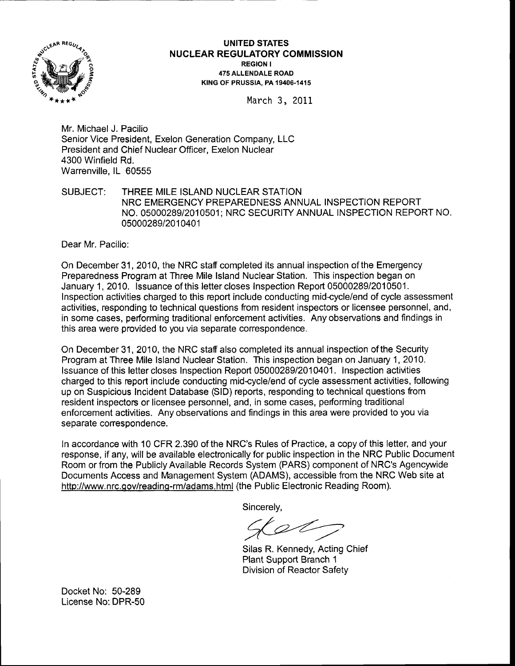

## UNITED STATES <sup>N</sup>UCLEAR REGULATORY COMMISSION REGION <sup>I</sup> 475 ALLENDALE ROAD KING OF PRUSSIA. PA 19406-1415

March 3, <sup>2011</sup>

Mr. Michael J. Pacilio Senior Vice President, Exelon Generation Company, LLC President and Chief Nuclear Officer, Exelon Nuclear 4300 Winfield Rd. Warrenville, lL 60555

## SUBJECT: THREE MILE ISLAND NUCLEAR STATION NRC EMERGENCY PREPAREDNESS ANNUAL INSPECTION REPORT NO. 05000289/2010501; NRC SECURITY ANNUAL INSPECTION REPORT NO. 05000289/2010401

Dear Mr. Pacilio:

On December 31 ,2010, the NRC staff completed its annual inspection of the Emergency Preparedness Program at Three Mile lsland Nuclear Station. This inspection began on January 1,2010. lssuance of this lettercloses Inspection Report 05000289/2010501. Inspection activities charged to this report include conducting mid-cycle/end of cycle assessment activities, responding to technical questions from resident inspectors or licensee personnel, and, in some cases, performing traditional enforcement activities. Any observations and findings in this area were provided to you via separate conespondence.

On December 31 ,2010, the NRC stafi also completed its annual inspection of the Security Program at Three Mile lsland Nuclear Station. This inspection began on January 1,201Q. Issuance of this letter closes Inspection Report 05000289/2010401. Inspection activities charged to this report include conducting mid-cycle/end of cycle assessment activities, following up on Suspicious Incident Database (SlD) reports, responding to technical questions ftom resident inspectors or licensee personnel, and, in some cases, performing traditional enforcement activities. Any observations and findings in this area were provided to you via separate correspondence.

In accordance with 10 CFR 2.390 of the NRC's Rules of Practice, a copy of this letter, and your response, if any, will be available electronically for public inspection in the NRC Public Document Room or from the Publicly Available Records System (PARS) component of NRC's Agencywide Documents Access and Management System (ADAMS), accessible from the NRC Web site at http://www.nrc.gov/reading-rm/adams.html (the Public Electronic Reading Room).

Sincerely.

Silas R. Kennedy, Acting Chief Plant Support Branch <sup>1</sup> Division of Reactor Safety

Docket No: 50-289 License No:DPR-50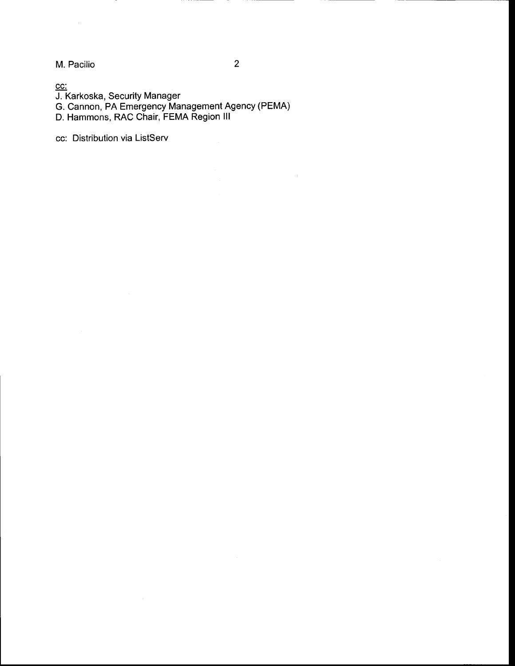M. Pacilio

cc:

J. Karkoska, Security Manager

G. Cannon, PA Emergency Management Agency (PEMA)

D. Hammons, RAC Chair, FEMA Region lll

cc: Distribution via ListServ